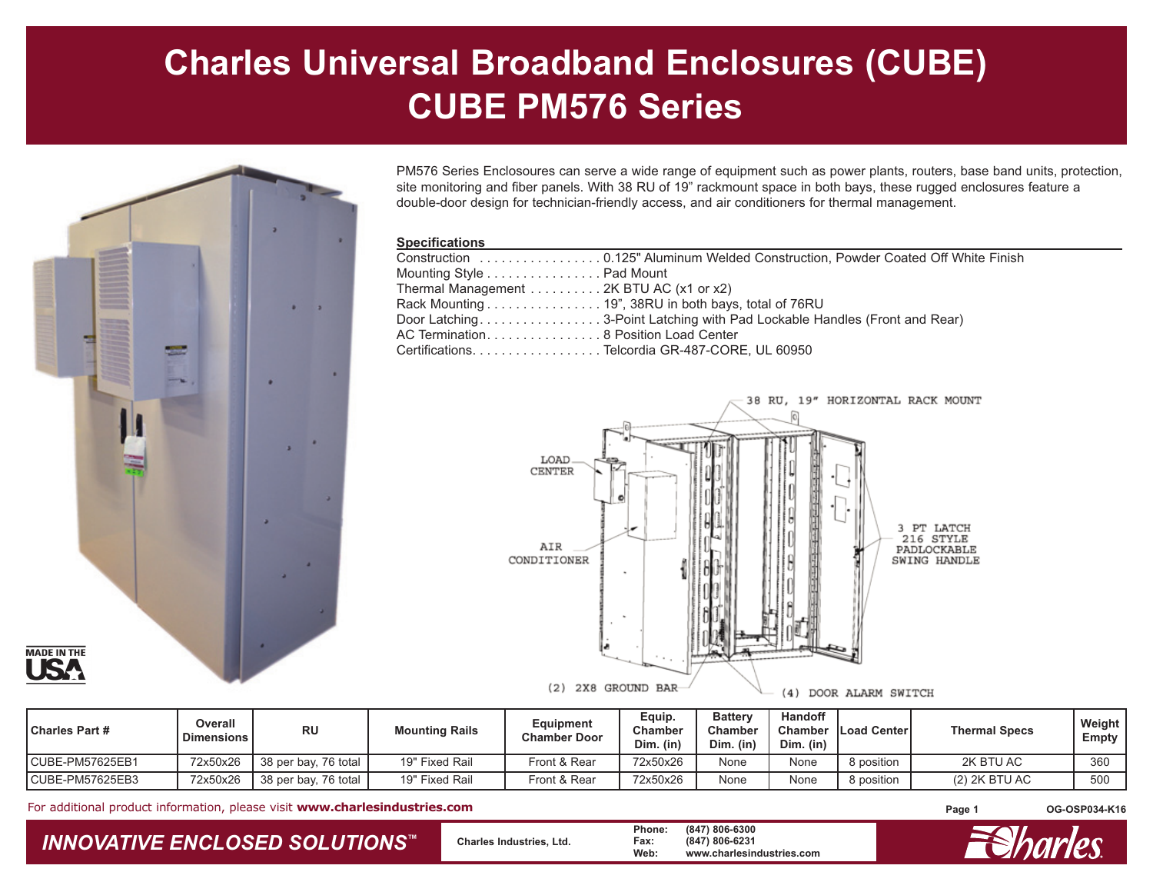## **Charles Universal Broadband Enclosures (CUBE) CUBE PM576 Series**



PM576 Series Enclosoures can serve a wide range of equipment such as power plants, routers, base band units, protection, site monitoring and fiber panels. With 38 RU of 19" rackmount space in both bays, these rugged enclosures feature a double-door design for technician-friendly access, and air conditioners for thermal management.

## **Specifications**

| Construction 0.125" Aluminum Welded Construction, Powder Coated Off White Finish |
|----------------------------------------------------------------------------------|
| Mounting Style Pad Mount                                                         |
| Thermal Management  2K BTU AC (x1 or x2)                                         |
| Rack Mounting 19", 38RU in both bays, total of 76RU                              |
| Door Latching3-Point Latching with Pad Lockable Handles (Front and Rear)         |
| AC Termination8 Position Load Center                                             |
| Certifications. Telcordia GR-487-CORE. UL 60950                                  |
|                                                                                  |



Charles Part # Poverall RU | Mounting Rails | Equipment | Equip. | Battery | Handoff | Load Center | Thermal Specs | Weight<br>| Dimensions | RU | Mounting Rails | Chamber Door | Chamber | Chamber | Chamber | Chamber | Load C CUBE-PM57625EB1 | 72x50x26 | 38 per bay, 76 total | 19" Fixed Rail | Front & Rear | 72x50x26 | None | None | 8 position | 2K BTU AC | 360 CUBE-PM57625EB3 | 72x50x26 | 38 per bay, 76 total | 19" Fixed Rail | Front & Rear | 72x50x26 | None | None | 8 position | (2) 2K BTU AC | 500

For additional product information, please visit **www.charlesindustries.com**

## *INNOVATIVE ENCLOSED SOLUTIONS ™*

 **Charles Industries, Ltd. Phone: (847) 806-6300 Fax: (847) 806-6231 Web: www.charlesindustries.com**

**Page 1 OG-OSP034-K16**